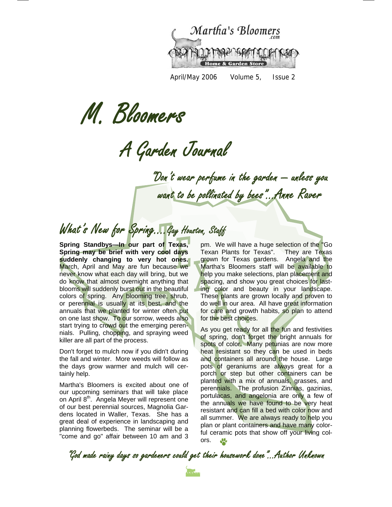

April/May 2006 Volume 5, Issue 2

M. Bloomers

A Garden Journal

"Don't wear perfume in the garden — unless you want to be pollinated by bees"...Anne Raver

## What's New for Spring....Gay Houston, Staff

**Spring Standbys—In our part of Texas, Spring may be brief with very cool days suddenly changing to very hot ones.**  March, April and May are fun because we never know what each day will bring, but we do know that almost overnight anything that blooms will suddenly burst out in the beautiful colors of spring. Any blooming tree, shrub, or perennial is usually at its best, and the annuals that we planted for winter often put on one last show. To our sorrow, weeds also start trying to crowd out the emerging perennials. Pulling, chopping, and spraying weed killer are all part of the process.

Don't forget to mulch now if you didn't during the fall and winter. More weeds will follow as the days grow warmer and mulch will certainly help.

Martha's Bloomers is excited about one of our upcoming seminars that will take place on April 8<sup>th</sup>. Angela Meyer will represent one of our best perennial sources, Magnolia Gardens located in Waller, Texas. She has a great deal of experience in landscaping and planning flowerbeds. The seminar will be a "come and go" affair between 10 am and 3

pm. We will have a huge selection of the "Go Texan Plants for Texas". They are Texas grown for Texas gardens. Angela and the Martha's Bloomers staff will be available to help you make selections, plan placement and spacing, and show you great choices for lasting color and beauty in your landscape. These plants are grown locally and proven to do well in our area. All have great information for care and growth habits, so plan to attend for the best choices.

As you get ready for all the fun and festivities of spring, don't forget the bright annuals for spots of color. Many petunias are now more heat resistant so they can be used in beds and containers all around the house. Large pots of geraniums are always great for a porch or step but other containers can be planted with a mix of annuals, grasses, and perennials. The profusion Zinnias, gazinias, portulacas, and angelonia are only a few of the annuals we have found to be very heat resistant and can fill a bed with color now and all summer. We are always ready to help you plan or plant containers and have many colorful ceramic pots that show off your living colors.  $\frac{10}{20}$ 

"God made rainy days so gardeners could get their housework done"...Author Unknown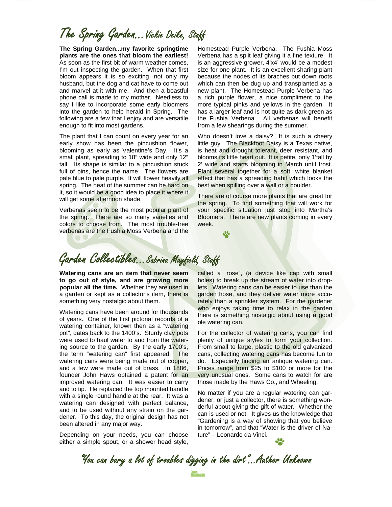# The Spring Garden…Vickie Deike, Staff

**The Spring Garden...my favorite springtime plants are the ones that bloom the earliest!**  As soon as the first bit of warm weather comes, I'm out inspecting the garden. When that first bloom appears it is so exciting, not only my husband, but the dog and cat have to come out and marvel at it with me. And then a boastful phone call is made to my mother. Needless to say I like to incorporate some early bloomers into the garden to help herald in Spring. The following are a few that I enjoy and are versatile enough to fit into most gardens.

The plant that I can count on every year for an early show has been the pincushion flower, blooming as early as Valentine's Day. It's a small plant, spreading to 18" wide and only 12" tall. Its shape is similar to a pincushion stuck full of pins, hence the name. The flowers are pale blue to pale purple. It will flower heavily all spring. The heat of the summer can be hard on it, so it would be a good idea to place it where it will get some afternoon shade.

Verbenas seem to be the most popular plant of the spring. There are so many varieties and colors to choose from. The most trouble-free verbenas are the Fushia Moss Verbena and the

Homestead Purple Verbena. The Fushia Moss Verbena has a split leaf giving it a fine texture. It is an aggressive grower, 4'x4' would be a modest size for one plant. It is an excellent sharing plant because the nodes of its braches put down roots which can then be dug up and transplanted as a new plant. The Homestead Purple Verbena has a rich purple flower, a nice compliment to the more typical pinks and yellows in the garden. It has a larger leaf and is not quite as dark green as the Fushia Verbena. All verbenas will benefit from a few shearings during the summer.

Who doesn't love a daisy? It is such a cheery little guy. The Blackfoot Daisy is a Texas native, is heat and drought tolerant, deer resistant, and blooms its little heart out. It is petite, only 1'tall by 2' wide and starts blooming in March until frost. Plant several together for a soft, white blanket effect that has a spreading habit which looks the best when spilling over a wall or a boulder.

There are of course more plants that are great for the spring. To find something that will work for your specific situation just stop into Martha's Bloomers. There are new plants coming in every week.

### Garden Collectibles...Sabrina Mayfield, Staff

**Watering cans are an item that never seem to go out of style, and are growing more popular all the time.** Whether they are used in a garden or kept as a collector's item, there is something very nostalgic about them.

Watering cans have been around for thousands of years. One of the first pictorial records of a watering container, known then as a "watering" pot", dates back to the 1400's. Sturdy clay pots were used to haul water to and from the watering source to the garden. By the early 1700's, the term "watering can" first appeared. The watering cans were being made out of copper, and a few were made out of brass. In 1886, founder John Haws obtained a patent for an improved watering can. It was easier to carry and to tip. He replaced the top mounted handle with a single round handle at the rear. It was a watering can designed with perfect balance, and to be used without any strain on the gardener. To this day, the original design has not been altered in any major way.

Depending on your needs, you can choose either a simple spout, or a shower head style,

called a "rose", (a device like cap with small holes) to break up the stream of water into droplets. Watering cans can be easier to use than the garden hose, and they deliver water more accurately than a sprinkler system. For the gardener who enjoys taking time to relax in the garden there is something nostalgic about using a good ole watering can.

For the collector of watering cans, you can find plenty of unique styles to form your collection. From small to large, plastic to the old galvanized cans, collecting watering cans has become fun to do. Especially finding an antique watering can. Prices range from \$25 to \$100 or more for the very unusual ones. Some cans to watch for are those made by the Haws Co., and Wheeling.

No matter if you are a regular watering can gardener, or just a collector, there is something wonderful about giving the gift of water. Whether the can is used or not. It gives us the knowledge that "Gardening is a way of showing that you believe in tomorrow", and that "Water is the driver of Nature" – Leonardo da Vinci.

"You can bury a lot of troubles digging in the dirt"...Author Unknown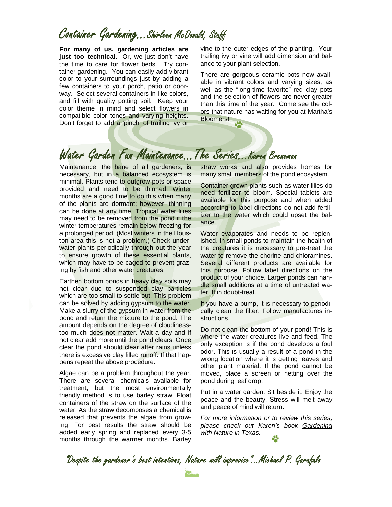### Container Gardening...Shirleen McDonald, Staff

**For many of us, gardening articles are just too technical.** Or, we just don't have the time to care for flower beds. Try container gardening. You can easily add vibrant color to your surroundings just by adding a few containers to your porch, patio or doorway. Select several containers in like colors, and fill with quality potting soil. Keep your color theme in mind and select flowers in compatible color tones and varying heights. Don't forget to add a 'pinch' of trailing ivy or vine to the outer edges of the planting. Your trailing ivy or vine will add dimension and balance to your plant selection.

There are gorgeous ceramic pots now available in vibrant colors and varying sizes, as well as the "long-time favorite" red clay pots and the selection of flowers are never greater than this time of the year. Come see the colors that nature has waiting for you at Martha's Bloomers!

### Water Garden Fun Maintenance...The Series...Karen Breneman

Maintenance, the bane of all gardeners, is necessary, but in a balanced ecosystem is minimal. Plants tend to outgrow pots or space provided and need to be thinned. Winter months are a good time to do this when many of the plants are dormant; however, thinning can be done at any time. Tropical water lilies may need to be removed from the pond if the winter temperatures remain below freezing for a prolonged period. (Most winters in the Houston area this is not a problem.) Check underwater plants periodically through out the year to ensure growth of these essential plants, which may have to be caged to prevent grazing by fish and other water creatures.

Earthen bottom ponds in heavy clay soils may not clear due to suspended clay particles which are too small to settle out. This problem can be solved by adding gypsum to the water. Make a slurry of the gypsum in water from the pond and return the mixture to the pond. The amount depends on the degree of cloudinesstoo much does not matter. Wait a day and if not clear add more until the pond clears. Once clear the pond should clear after rains unless there is excessive clay filled runoff. If that happens repeat the above procedure.

Algae can be a problem throughout the year. There are several chemicals available for treatment, but the most environmentally friendly method is to use barley straw. Float containers of the straw on the surface of the water. As the straw decomposes a chemical is released that prevents the algae from growing. For best results the straw should be added early spring and replaced every 3-5 months through the warmer months. Barley straw works and also provides homes for many small members of the pond ecosystem.

Container grown plants such as water lilies do need fertilizer to bloom. Special tablets are available for this purpose and when added according to label directions do not add fertilizer to the water which could upset the balance.

Water evaporates and needs to be replenished. In small ponds to maintain the health of the creatures it is necessary to pre-treat the water to remove the chorine and chloramines. Several different products are available for this purpose. Follow label directions on the product of your choice. Larger ponds can handle small additions at a time of untreated water. If in doubt-treat.

If you have a pump, it is necessary to periodically clean the filter. Follow manufactures instructions.

Do not clean the bottom of your pond! This is where the water creatures live and feed. The only exception is if the pond develops a foul odor. This is usually a result of a pond in the wrong location where it is getting leaves and other plant material. If the pond cannot be moved, place a screen or netting over the pond during leaf drop.

Put in a water garden. Sit beside it. Enjoy the peace and the beauty. Stress will melt away and peace of mind will return.

*For more information or to review this series, please check out Karen's book Gardening with Nature in Texas.*

"Despite the gardener's best intentions, Nature will improvise"...Michael P. Garafalo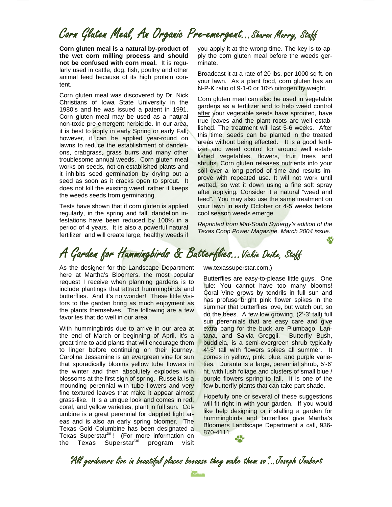### Corn Gluten Meal, An Organic Pre-emergent...Sharon Murry, Staff

**Corn gluten meal is a natural by-product of the wet corn milling process and should not be confused with corn meal.** It is regularly used in cattle, dog, fish, poultry and other animal feed because of its high protein content.

Corn gluten meal was discovered by Dr. Nick Christians of Iowa State University in the 1980's and he was issued a patent in 1991. Corn gluten meal may be used as a natural non-toxic pre-emergent herbicide. In our area, it is best to apply in early Spring or early Fall; however, it can be applied year-round on lawns to reduce the establishment of dandelions, crabgrass, grass burrs and many other troublesome annual weeds. Corn gluten meal works on seeds, not on established plants and it inhibits seed germination by drying out a seed as soon as it cracks open to sprout. It does not kill the existing weed; rather it keeps the weeds seeds from germinating.

Tests have shown that if corn gluten is applied regularly, in the spring and fall, dandelion infestations have been reduced by 100% in a period of 4 years. It is also a powerful natural fertilizer and will create large, healthy weeds if you apply it at the wrong time. The key is to apply the corn gluten meal before the weeds germinate.

Broadcast it at a rate of 20 lbs. per 1000 sq ft. on your lawn. As a plant food, corn gluten has an N-P-K ratio of 9-1-0 or 10% nitrogen by weight.

Corn gluten meal can also be used in vegetable gardens as a fertilizer and to help weed control after your vegetable seeds have sprouted, have true leaves and the plant roots are well established. The treatment will last 5-6 weeks. After this time, seeds can be planted in the treated areas without being effected. It is a good fertilizer and weed control for around well established vegetables, flowers, fruit trees and shrubs. Corn gluten releases nutrients into your soil over a long period of time and results improve with repeated use. It will not work until wetted, so wet it down using a fine soft spray after applying. Consider it a natural "weed and feed". You may also use the same treatment on your lawn in early October or 4-5 weeks before cool season weeds emerge.

*Reprinted from Mid-South Synergy's edition of the Texas Coop Power Magazine, March 2004 issue.* 

# A Garden for Hummingbirds & Butterflies...Vickie Deike, Staff

As the designer for the Landscape Department here at Martha's Bloomers, the most popular request I receive when planning gardens is to include plantings that attract hummingbirds and butterflies. And it's no wonder! These little visitors to the garden bring as much enjoyment as the plants themselves. The following are a few favorites that do well in our area.

With hummingbirds due to arrive in our area at the end of March or beginning of April, it's a great time to add plants that will encourage them to linger before continuing on their journey. Carolina Jessamine is an evergreen vine for sun that sporadically blooms yellow tube flowers in the winter and then absolutely explodes with blossoms at the first sign of spring. Russelia is a mounding perennial with tube flowers and very fine textured leaves that make it appear almost grass-like. It is a unique look and comes in red, coral, and yellow varieties, plant in full sun. Columbine is a great perennial for dappled light areas and is also an early spring bloomer. The Texas Gold Columbine has been designated a Texas Superstar<sup>tm</sup>! (For more information on the Texas Superstar<sup>tm</sup> program visit

ww.texassuperstar.com.)

Butterflies are easy-to-please little guys. One rule: You cannot have too many blooms! Coral Vine grows by tendrils in full sun and has profuse bright pink flower spikes in the summer that butterflies love, but watch out, so do the bees. A few low growing, (2'-3' tall) full sun perennials that are easy care and give extra bang for the buck are Plumbago, Lantana, and Salvia Greggii. Butterfly Bush, buddleia, is a semi-evergreen shrub typically 4'-5' tall with flowers spikes all summer. It comes in yellow, pink, blue, and purple varieties. Duranta is a large, perennial shrub, 5'-6' ht. with lush foliage and clusters of small blue / purple flowers spring to fall. It is one of the few butterfly plants that can take part shade.

Hopefully one or several of these suggestions will fit right in with your garden. If you would like help designing or installing a garden for hummingbirds and butterflies give Martha's Bloomers Landscape Department a call, 936- 870-4111.

"All gardeners live in beautiful places because they make them so"...Joseph Joubert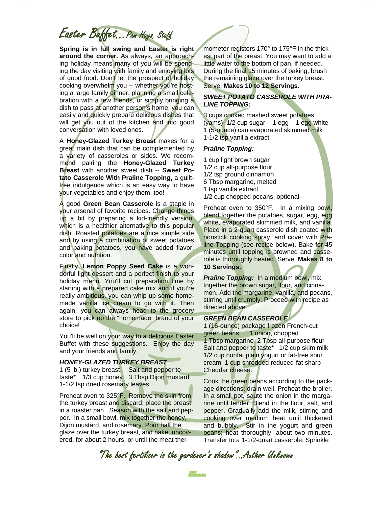Easter Buffet...Pam Hays, Staff

**Spring is in full swing and Easter is right around the corner.** As always, an approaching holiday means many of you will be spending the day visiting with family and enjoying lots of good food. Don't let the prospect of holiday cooking overwhelm you -- whether you're hosting a large family dinner, planning a small celebration with a few friends, or simply bringing a dish to pass at another person's home, you can easily and quickly prepare delicious dishes that will get you out of the kitchen and into good conversation with loved ones.

A **Honey-Glazed Turkey Breast** makes for a great main dish that can be complemented by a variety of casseroles or sides. We recommend pairing the **Honey-Glazed Turkey Breast** with another sweet dish -- **Sweet Potato Casserole With Praline Topping,** a guiltfree indulgence which is an easy way to have your vegetables and enjoy them, too!

A good **Green Bean Casserole** is a staple in your arsenal of favorite recipes. Change things up a bit by preparing a kid-friendly version, which is a healthier alternative to this popular dish. Roasted potatoes are a nice simple side and by using a combination of sweet potatoes and baking potatoes, you have added flavor, color and nutrition.

Finally, **Lemon Poppy Seed Cake** is a wonderful light dessert and a perfect finish to your holiday menu. You'll cut preparation time by starting with a prepared cake mix and if you're really ambitious, you can whip up some homemade vanilla ice cream to go with it. Then again, you can always head to the grocery store to pick up the "homemade" brand of your choice!

You'll be well on your way to a delicious Easter Buffet with these suggestions. Enjoy the day and your friends and family.

### *HONEY-GLAZED TURKEY BREAST*

1 (5 lb.) turkey breast Salt and pepper to taste\* 1/3 cup honey 3 Tbsp Dijon mustard 1-1/2 tsp dried rosemary leaves

Preheat oven to 325°F. Remove the skin from the turkey breast and discard; place the breast in a roaster pan. Season with the salt and pepper. In a small bowl, mix together the honey, Dijon mustard, and rosemary. Pour half the glaze over the turkey breast, and bake, uncovered, for about 2 hours, or until the meat ther-

mometer registers 170° to 175°F in the thickest part of the breast. You may want to add a little water to the bottom of pan, if needed. During the final 15 minutes of baking, brush the remaining glaze over the turkey breast. Serve. **Makes 10 to 12 Servings.** 

### *SWEET POTATO CASSEROLE WITH PRA-LINE TOPPING:*

3 cups cooked mashed sweet potatoes (yams) 1/2 cup sugar 1 egg 1 egg white 1 (5-ounce) can evaporated skimmed milk 1-1/2 tsp vanilla extract

#### *Praline Topping:*

1 cup light brown sugar 1/2 cup all-purpose flour 1/2 tsp ground cinnamon 6 Tbsp margarine, melted 1 tsp vanilla extract 1/2 cup chopped pecans, optional

Preheat oven to 350°F. In a mixing bowl, blend together the potatoes, sugar, egg, egg white, evaporated skimmed milk, and vanilla. Place in a 2-quart casserole dish coated with nonstick cooking spray, and cover with Praline Topping (see recipe below). Bake for 45 minutes until topping is browned and casserole is thoroughly heated. Serve. **Makes 8 to 10 Servings.** 

*Praline Topping:* In a medium bowl, mix together the brown sugar, flour, and cinnamon. Add the margarine, vanilla, and pecans, stirring until crumbly. Proceed with recipe as directed above.

#### *GREEN BEAN CASSEROLE*

1 (16-ounce) package frozen French-cut green beans 1 onion, chopped 1 Tbsp margarine 2 Tbsp all-purpose flour Salt and pepper to taste\* 1/2 cup skim milk 1/2 cup nonfat plain yogurt or fat-free sour cream 1 cup shredded reduced-fat sharp Cheddar cheese.

Cook the green beans according to the package directions; drain well. Preheat the broiler. In a small pot, sauté the onion in the margarine until tender. Blend in the flour, salt, and pepper. Gradually add the milk, stirring and cooking over medium heat until thickened and bubbly. Stir in the yogurt and green beans; heat thoroughly, about two minutes. Transfer to a 1-1/2-quart casserole. Sprinkle

"The best fertilizer is the gardener's shadow"...Author Unknown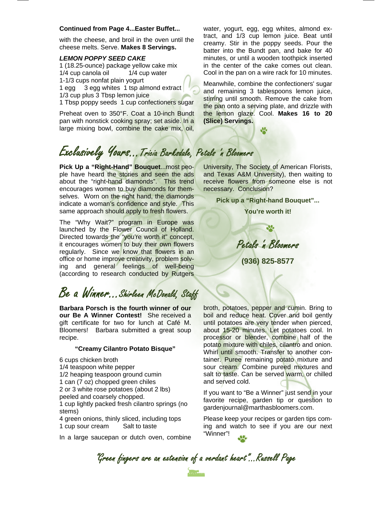#### **Continued from Page 4...Easter Buffet...**

with the cheese, and broil in the oven until the cheese melts. Serve. **Makes 8 Servings.** 

#### *LEMON POPPY SEED CAKE*

1 (18.25-ounce) package yellow cake mix 1/4 cup canola oil 1/4 cup water 1-1/3 cups nonfat plain yogurt 1 egg 3 egg whites 1 tsp almond extract 1/3 cup plus 3 Tbsp lemon juice

1 Tbsp poppy seeds 1 cup confectioners sugar

Preheat oven to 350°F. Coat a 10-inch Bundt pan with nonstick cooking spray; set aside. In a large mixing bowl, combine the cake mix, oil,

water, yogurt, egg, egg whites, almond extract, and 1/3 cup lemon juice. Beat until creamy. Stir in the poppy seeds. Pour the batter into the Bundt pan, and bake for 40 minutes, or until a wooden toothpick inserted in the center of the cake comes out clean. Cool in the pan on a wire rack for 10 minutes.

Meanwhile, combine the confectioners' sugar and remaining 3 tablespoons lemon juice, stirring until smooth. Remove the cake from the pan onto a serving plate, and drizzle with the lemon glaze. Cool. **Makes 16 to 20 (Slice) Servings.**

Ψ.

# Exclusively Yours...Tricia Barksdale, Petals 'n Bloomers

**Pick Up a "Right-Hand" Bouquet**...most people have heard the stories and seen the ads about the "right-hand diamonds". This trend encourages women to buy diamonds for themselves. Worn on the right hand, the diamonds indicate a woman's confidence and style. This same approach should apply to fresh flowers.

The "Why Wait?" program in Europe was launched by the Flower Council of Holland. Directed towards the "you're worth it" concept, it encourages women to buy their own flowers regularly. Since we know that flowers in an office or home improve creativity, problem solving and general feelings of well-being (according to research conducted by Rutgers

### Be a Winner...Shirleen McDonald, Staff

**Barbara Porsch is the fourth winner of our our Be A Winner Contest!** She received a gift certificate for two for lunch at Café M. Bloomers! Barbara submitted a great soup recipe.

#### **"Creamy Cilantro Potato Bisque"**

6 cups chicken broth

- 1/4 teaspoon white pepper
- 1/2 heaping teaspoon ground cumin
- 1 can (7 oz) chopped green chiles
- 2 or 3 white rose potatoes (about 2 lbs)

peeled and coarsely chopped.

1 cup lightly packed fresh cilantro springs (no stems)

4 green onions, thinly sliced, including tops 1 cup sour cream Salt to taste

In a large saucepan or dutch oven, combine

University, The Society of American Florists, and Texas A&M University), then waiting to receive flowers from someone else is not necessary. Conclusion?

**Pick up a "Right-hand Bouquet"...** 

**You're worth it!** 

Petals 'n Bloomers

**(936) 825-8577** 

broth, potatoes, pepper and cumin. Bring to boil and reduce heat. Cover and boil gently until potatoes are very tender when pierced, about 15-20 minutes. Let potatoes cool. In processor or blender, combine half of the potato mixture with chiles, cilantro and onion. Whirl until smooth. Transfer to another container. Puree remaining potato mixture and sour cream. Combine pureed mixtures and salt to taste. Can be served warm, or chilled and served cold.

If you want to "Be a Winner" just send in your favorite recipe, garden tip or question to gardenjournal@marthasbloomers.com.

Please keep your recipes or garden tips coming and watch to see if you are our next "Winner"!

"Green fingers are an extension of a verdant heart"...Russell Page